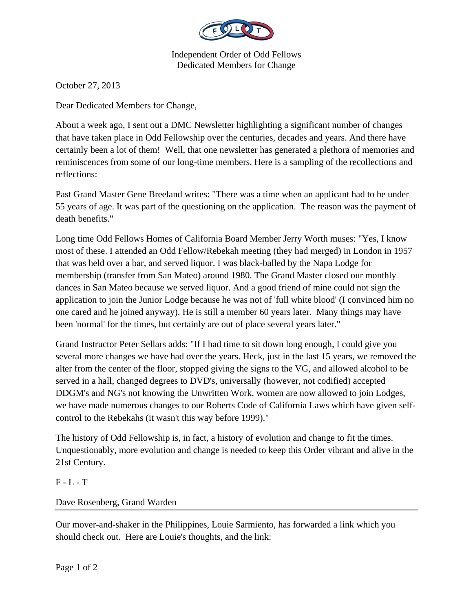

Independent Order of Odd Fellows Dedicated Members for Change

October 27, 2013

Dear Dedicated Members for Change,

About a week ago, I sent out a DMC Newsletter highlighting a significant number of changes that have taken place in Odd Fellowship over the centuries, decades and years. And there have certainly been a lot of them! Well, that one newsletter has generated a plethora of memories and reminiscences from some of our long-time members. Here is a sampling of the recollections and reflections:

Past Grand Master Gene Breeland writes: "There was a time when an applicant had to be under 55 years of age. It was part of the questioning on the application. The reason was the payment of death benefits."

Long time Odd Fellows Homes of California Board Member Jerry Worth muses: "Yes, I know most of these. I attended an Odd Fellow/Rebekah meeting (they had merged) in London in 1957 that was held over a bar, and served liquor. I was black-balled by the Napa Lodge for membership (transfer from San Mateo) around 1980. The Grand Master closed our monthly dances in San Mateo because we served liquor. And a good friend of mine could not sign the application to join the Junior Lodge because he was not of 'full white blood' (I convinced him no one cared and he joined anyway). He is still a member 60 years later. Many things may have been 'normal' for the times, but certainly are out of place several years later."

Grand Instructor Peter Sellars adds: "If I had time to sit down long enough, I could give you several more changes we have had over the years. Heck, just in the last 15 years, we removed the alter from the center of the floor, stopped giving the signs to the VG, and allowed alcohol to be served in a hall, changed degrees to DVD's, universally (however, not codified) accepted DDGM's and NG's not knowing the Unwritten Work, women are now allowed to join Lodges, we have made numerous changes to our Roberts Code of California Laws which have given selfcontrol to the Rebekahs (it wasn't this way before 1999)."

The history of Odd Fellowship is, in fact, a history of evolution and change to fit the times. Unquestionably, more evolution and change is needed to keep this Order vibrant and alive in the 21st Century.

## F - L - T

## Dave Rosenberg, Grand Warden

Our mover-and-shaker in the Philippines, Louie Sarmiento, has forwarded a link which you should check out. Here are Louie's thoughts, and the link: